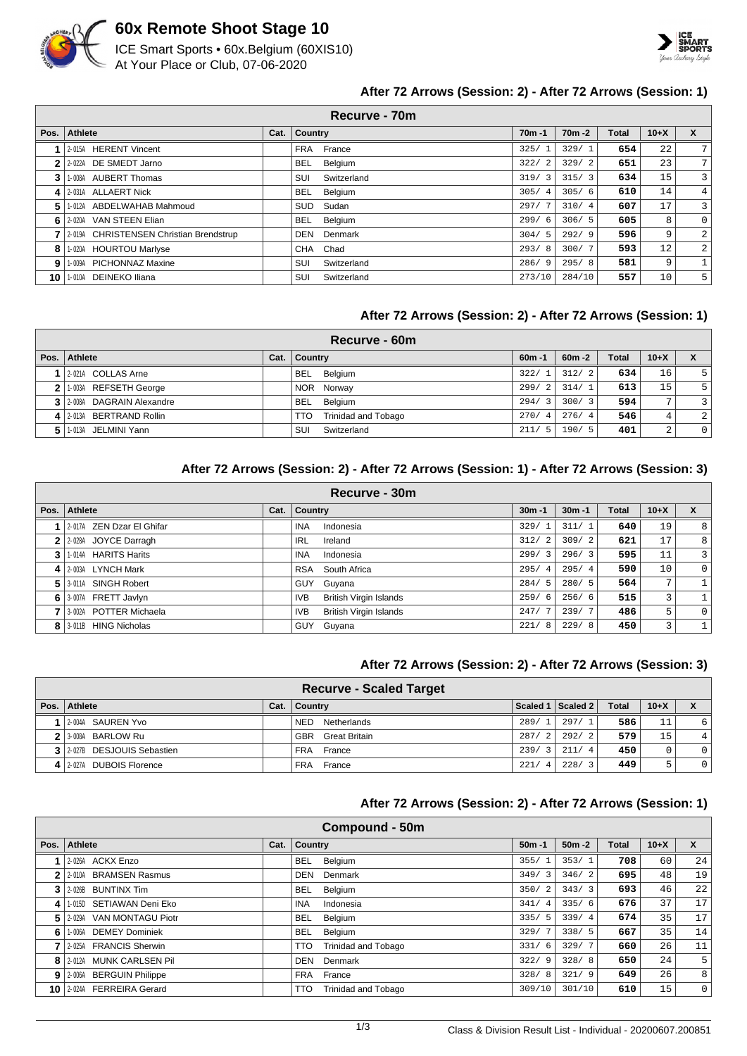

# **60x Remote Shoot Stage 10**

ICE Smart Sports • 60x.Belgium (60XIS10) At Your Place or Club, 07-06-2020



# **After 72 Arrows (Session: 2) - After 72 Arrows (Session: 1)**

|                | Recurve - 70m                           |      |                       |                        |           |       |        |                |  |  |  |  |
|----------------|-----------------------------------------|------|-----------------------|------------------------|-----------|-------|--------|----------------|--|--|--|--|
| Pos.           | Athlete                                 | Cat. | Country               | $70m - 1$              | $70m - 2$ | Total | $10+X$ | X              |  |  |  |  |
|                | 2-015A HERENT Vincent                   |      | France<br><b>FRA</b>  | 325/<br>1              | 329/1     | 654   | 22     | 7              |  |  |  |  |
| 2              | 2-022A DE SMEDT Jarno                   |      | Belgium<br>BEL        | 322/<br>2              | 329/2     | 651   | 23     | 7              |  |  |  |  |
| 3              | 1-008A AUBERT Thomas                    |      | Switzerland<br>SUI    | 319/<br>3              | 315/3     | 634   | 15     | 3              |  |  |  |  |
| 4              | 2-031A ALLAERT Nick                     |      | Belgium<br>BEL        | 305/<br>$\overline{4}$ | 305/6     | 610   | 14     | 4              |  |  |  |  |
| 5              | 1-012A ABDELWAHAB Mahmoud               |      | Sudan<br>SUD          | 297/                   | 310/4     | 607   | 17     | 3              |  |  |  |  |
| 61             | 2-020A VAN STEEN Elian                  |      | <b>BEL</b><br>Belgium | 299/<br>-6             | 306/5     | 605   | 8      | 0              |  |  |  |  |
|                | 2-019A CHRISTENSEN Christian Brendstrup |      | <b>DEN</b><br>Denmark | 304/<br>.5             | 292/9     | 596   | 9      | $\overline{a}$ |  |  |  |  |
| 8              | 1-020A HOURTOU Marlyse                  |      | <b>CHA</b><br>Chad    | 293/<br>-8             | 300/7     | 593   | 12     | $\overline{2}$ |  |  |  |  |
| 9 <sub>1</sub> | 1-009A PICHONNAZ Maxine                 |      | SUI<br>Switzerland    | 286/<br>-9             | 295/8     | 581   | 9      | 1              |  |  |  |  |
| 10 I           | 1-010A DEINEKO Iliana                   |      | SUI<br>Switzerland    | 273/10                 | 284/10    | 557   | 10     | 5              |  |  |  |  |

# **After 72 Arrows (Session: 2) - After 72 Arrows (Session: 1)**

|                                                                | Recurve - 60m             |  |                                          |       |       |              |                |                |  |  |  |  |
|----------------------------------------------------------------|---------------------------|--|------------------------------------------|-------|-------|--------------|----------------|----------------|--|--|--|--|
| Athlete<br>$60m - 1$<br>Pos. $\vert$<br>Cat.<br><b>Country</b> |                           |  |                                          |       |       | <b>Total</b> | $10+X$         | X              |  |  |  |  |
|                                                                | 2-021A COLLAS Arne        |  | BEL Belgium                              | 322/1 | 312/2 | 634          | 16             | 5 <sup>1</sup> |  |  |  |  |
| 2 <sub>1</sub>                                                 | 1.003A REFSETH George     |  | NOR Norway                               | 299/2 | 314/1 | 613          | 15             | 5 <sup>1</sup> |  |  |  |  |
|                                                                | 3 2008A DAGRAIN Alexandre |  | BEL Belgium                              | 294/3 | 300/3 | 594          | $\overline{ }$ | $\overline{3}$ |  |  |  |  |
|                                                                | 4 2013A BERTRAND Rollin   |  | <b>Trinidad and Tobago</b><br><b>TTO</b> | 270/4 | 276/4 | 546          | 4              | $\overline{2}$ |  |  |  |  |
| 51                                                             | 1-013A JELMINI Yann       |  | Switzerland<br>SUI                       | 211/5 | 190/5 | 401          | $\Omega$<br>∠  | $\overline{0}$ |  |  |  |  |

## **After 72 Arrows (Session: 2) - After 72 Arrows (Session: 1) - After 72 Arrows (Session: 3)**

|                                                                                               | Recurve - 30m             |  |                                             |                        |       |     |                 |          |  |  |  |  |
|-----------------------------------------------------------------------------------------------|---------------------------|--|---------------------------------------------|------------------------|-------|-----|-----------------|----------|--|--|--|--|
| <b>Country</b><br>Athlete<br>Cat.<br>$10+X$<br>$30m - 1$<br>Pos.<br>$30m - 1$<br><b>Total</b> |                           |  |                                             |                        |       |     |                 | X        |  |  |  |  |
|                                                                                               | 2-017A ZEN Dzar El Ghifar |  | <b>INA</b><br>Indonesia                     | 329/                   | 311/1 | 640 | 19              | 8        |  |  |  |  |
|                                                                                               | 2 2 2028A JOYCE Darragh   |  | IRL<br>Ireland                              | 312/<br>2              | 309/2 | 621 | 17 <sub>1</sub> | 8        |  |  |  |  |
| 3                                                                                             | 1-014A HARITS Harits      |  | <b>INA</b><br>Indonesia                     | 299/3                  | 296/3 | 595 | 11              | 3        |  |  |  |  |
|                                                                                               | 4 2-003A LYNCH Mark       |  | South Africa<br><b>RSA</b>                  | 295/<br>$\overline{4}$ | 295/4 | 590 | 10              | $\Omega$ |  |  |  |  |
| 5                                                                                             | 3-011A SINGH Robert       |  | Guyana<br><b>GUY</b>                        | 284/5                  | 280/5 | 564 | $7\phantom{.0}$ |          |  |  |  |  |
| 6                                                                                             | 3-007A FRETT Javlyn       |  | <b>British Virgin Islands</b><br>IVB.       | 259/<br>- 6            | 256/6 | 515 | 3               |          |  |  |  |  |
|                                                                                               | 3-002A POTTER Michaela    |  | <b>British Virgin Islands</b><br><b>IVB</b> | 247/7                  | 239/7 | 486 | 5               | $\Omega$ |  |  |  |  |
|                                                                                               | 8 3-011B HING Nicholas    |  | <b>GUY</b><br>Guyana                        | 221/<br>-8             | 229/8 | 450 | 3               |          |  |  |  |  |

## **After 72 Arrows (Session: 2) - After 72 Arrows (Session: 3)**

| <b>Recurve - Scaled Target</b> |      |                           |       |                     |       |        |                |  |  |  |  |
|--------------------------------|------|---------------------------|-------|---------------------|-------|--------|----------------|--|--|--|--|
| Pos.   Athlete                 | Cat. | ∣ Countrv                 |       | Scaled 1   Scaled 2 | Total | $10+X$ |                |  |  |  |  |
| 12-004A SAUREN Yvo             |      | <b>NED</b><br>Netherlands | 289/1 | 297/1               | 586   |        | 6              |  |  |  |  |
| 2 3-008A BARLOW Ru             |      | <b>GBR</b> Great Britain  | 287/2 | 292/2               | 579   | 15     | 4              |  |  |  |  |
| 3 2 027B DESJOUIS Sebastien    |      | FRA France                | 239/3 | 211/4               | 450   |        | 0 <sup>1</sup> |  |  |  |  |
| 4 2-027A DUBOIS Florence       |      | FRA France                | 221/  | 228/3               | 449   | ↳      | 0 <sup>1</sup> |  |  |  |  |

#### **After 72 Arrows (Session: 2) - After 72 Arrows (Session: 1)**

|      | <b>Compound - 50m</b>     |      |                                   |                        |           |              |        |             |  |  |  |
|------|---------------------------|------|-----------------------------------|------------------------|-----------|--------------|--------|-------------|--|--|--|
| Pos. | Athlete                   | Cat. | <b>Country</b>                    | $50m - 1$              | $50m - 2$ | <b>Total</b> | $10+X$ | X           |  |  |  |
|      | $1 \mid 2.026A$ ACKX Enzo |      | <b>BEL</b><br>Belgium             | 355/                   | 353/1     | 708          | 60     | 24          |  |  |  |
|      | 2 2 2010A BRAMSEN Rasmus  |      | Denmark<br><b>DEN</b>             | 349/3                  | 346/2     | 695          | 48     | 19          |  |  |  |
|      | $3$   2-026B BUNTINX Tim  |      | Belgium<br><b>BEL</b>             | 350/<br>$\overline{2}$ | 343/3     | 693          | 46     | 22          |  |  |  |
| 41   | 1-015D SETIAWAN Deni Eko  |      | <b>INA</b><br>Indonesia           | 341/<br>-4             | 335/6     | 676          | 37     | 17          |  |  |  |
| 51   | 2-029A VAN MONTAGU Piotr  |      | Belgium<br><b>BEL</b>             | 335/5                  | 339/4     | 674          | 35     | 17          |  |  |  |
| 61   | 1-006A DEMEY Dominiek     |      | Belgium<br><b>BEL</b>             | 329/                   | 338/5     | 667          | 35     | 14          |  |  |  |
|      | 7 2.025A FRANCIS Sherwin  |      | <b>Trinidad and Tobago</b><br>TTO | 331/<br>- 6            | 329/7     | 660          | 26     | 11          |  |  |  |
| 8    | 2-012A MUNK CARLSEN Pil   |      | Denmark<br><b>DEN</b>             | 322/<br>- 9            | 328/8     | 650          | 24     | 5           |  |  |  |
|      | 9 2-006A BERGUIN Philippe |      | France<br><b>FRA</b>              | 328/8                  | 321/9     | 649          | 26     | 8           |  |  |  |
|      | 10 2-024A FERREIRA Gerard |      | TTO<br>Trinidad and Tobago        | 309/10                 | 301/10    | 610          | 15     | $\mathbf 0$ |  |  |  |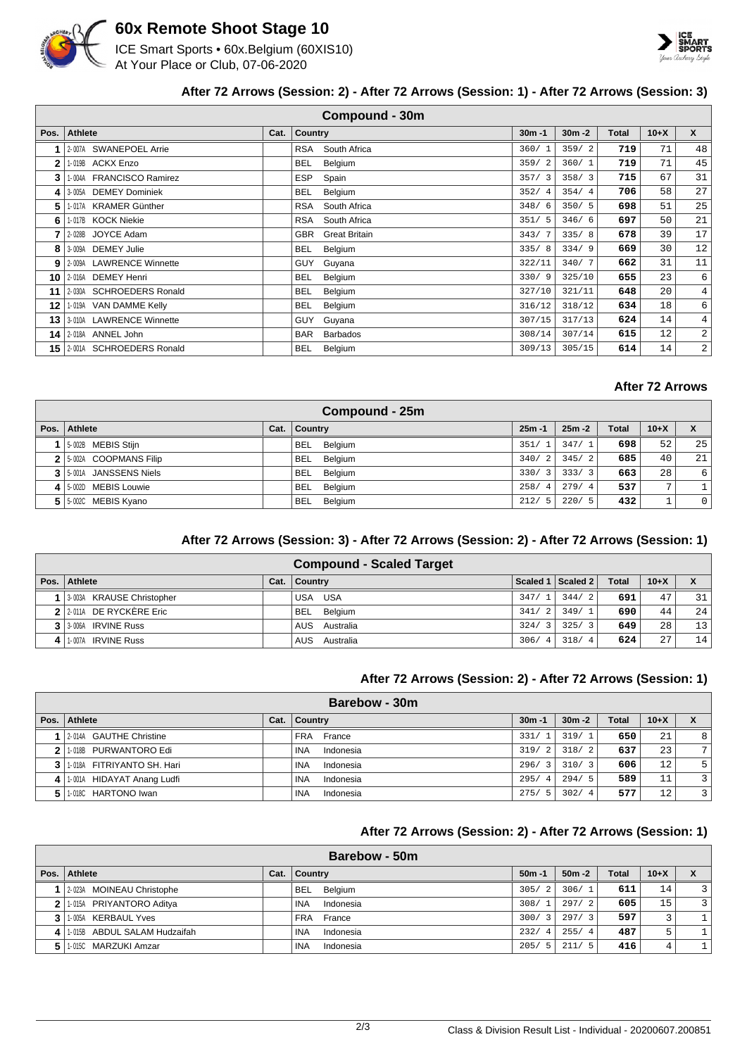

# **60x Remote Shoot Stage 10**

ICE Smart Sports • 60x.Belgium (60XIS10) At Your Place or Club, 07-06-2020



## **After 72 Arrows (Session: 2) - After 72 Arrows (Session: 1) - After 72 Arrows (Session: 3)**

|      | <b>Compound - 30m</b>                                                                                 |  |                                    |        |        |     |    |                |  |  |  |  |
|------|-------------------------------------------------------------------------------------------------------|--|------------------------------------|--------|--------|-----|----|----------------|--|--|--|--|
| Pos. | $\mathsf{x}$<br><b>Athlete</b><br>Country<br>$10+X$<br>Cat.<br>$30m - 1$<br>$30m - 2$<br><b>Total</b> |  |                                    |        |        |     |    |                |  |  |  |  |
|      | 2-007A SWANEPOEL Arrie                                                                                |  | South Africa<br><b>RSA</b>         | 360/1  | 359/2  | 719 | 71 | 48             |  |  |  |  |
| 2    | 1-019B ACKX Enzo                                                                                      |  | <b>BEL</b><br>Belgium              | 359/2  | 360/1  | 719 | 71 | 45             |  |  |  |  |
| 3    | 1-004A FRANCISCO Ramirez                                                                              |  | <b>ESP</b><br>Spain                | 357/3  | 358/3  | 715 | 67 | 31             |  |  |  |  |
| 4    | 3-005A DEMEY Dominiek                                                                                 |  | Belgium<br><b>BEL</b>              | 352/4  | 354/4  | 706 | 58 | 27             |  |  |  |  |
| 5    | 1-017A KRAMER Günther                                                                                 |  | <b>RSA</b><br>South Africa         | 348/6  | 350/5  | 698 | 51 | 25             |  |  |  |  |
| 6    | 1-017B KOCK Niekie                                                                                    |  | RSA<br>South Africa                | 351/5  | 346/6  | 697 | 50 | 21             |  |  |  |  |
|      | 2-028B JOYCE Adam                                                                                     |  | <b>GBR</b><br><b>Great Britain</b> | 343/7  | 335/8  | 678 | 39 | 17             |  |  |  |  |
| 8    | <b>DEMEY Julie</b><br>3-009A                                                                          |  | <b>BEL</b><br>Belgium              | 335/8  | 334/9  | 669 | 30 | 12             |  |  |  |  |
| 9    | 2-009A LAWRENCE Winnette                                                                              |  | <b>GUY</b><br>Guyana               | 322/11 | 340/7  | 662 | 31 | 11             |  |  |  |  |
| 10   | 2-016A DEMEY Henri                                                                                    |  | <b>BEL</b><br>Belgium              | 330/9  | 325/10 | 655 | 23 | 6              |  |  |  |  |
| 11   | 2-030A SCHROEDERS Ronald                                                                              |  | Belgium<br><b>BEL</b>              | 327/10 | 321/11 | 648 | 20 | 4              |  |  |  |  |
| 12   | 1-019A VAN DAMME Kelly                                                                                |  | <b>BEL</b><br>Belgium              | 316/12 | 318/12 | 634 | 18 | 6              |  |  |  |  |
| 13   | 3-010A LAWRENCE Winnette                                                                              |  | <b>GUY</b><br>Guyana               | 307/15 | 317/13 | 624 | 14 | 4              |  |  |  |  |
| 14   | 2-018A ANNEL John                                                                                     |  | <b>BAR</b><br><b>Barbados</b>      | 308/14 | 307/14 | 615 | 12 | $\overline{a}$ |  |  |  |  |
| 15   | 2-001A SCHROEDERS Ronald                                                                              |  | <b>BEL</b><br>Belgium              | 309/13 | 305/15 | 614 | 14 | $\overline{a}$ |  |  |  |  |

## **After 72 Arrows**

|              | Compound - 25m          |      |                       |           |           |              |              |                  |  |  |  |  |
|--------------|-------------------------|------|-----------------------|-----------|-----------|--------------|--------------|------------------|--|--|--|--|
| Pos. $\vert$ | Athlete                 | Cat. | Country               | $25m - 1$ | $25m - 2$ | <b>Total</b> | $10+X$       | X                |  |  |  |  |
|              | 1 5-002B MEBIS Stijn    |      | BEL Belgium           | 351/1     | 347/1     | 698          | 52           | 25               |  |  |  |  |
|              | 2 5-002A COOPMANS Filip |      | BEL Belgium           | 340/2     | 345/2     | 685          | 40           | 21               |  |  |  |  |
|              | 3 5 001A JANSSENS Niels |      | BEL Belgium           | 330/3     | 333/3     | 663          | 28           | $6 \overline{6}$ |  |  |  |  |
|              | 4 5-002D MEBIS Louwie   |      | Belgium<br><b>BEL</b> | 258/4     | 279/4     | 537          | $\mathbf{r}$ |                  |  |  |  |  |
|              | 5   5.002C MEBIS Kyano  |      | Belgium<br>BEL        | 212/5     | 220/5     | 432          |              | $\overline{0}$   |  |  |  |  |

## **After 72 Arrows (Session: 3) - After 72 Arrows (Session: 2) - After 72 Arrows (Session: 1)**

| <b>Compound - Scaled Target</b> |      |               |       |                     |              |        |    |  |  |  |  |
|---------------------------------|------|---------------|-------|---------------------|--------------|--------|----|--|--|--|--|
| Pos.   Athlete                  | Cat. | ∣ Countrv     |       | Scaled 1   Scaled 2 | <b>Total</b> | $10+X$ |    |  |  |  |  |
| 3-003A KRAUSE Christopher       |      | USA USA       | 347/1 | 344/2               | 691          | 47     | 31 |  |  |  |  |
| $2$ 2 011A DE RYCKÈRE Eric      |      | BEL Belgium   | 341/2 | 349/1               | 690          | 44     | 24 |  |  |  |  |
| 3 3 3 006A IRVINE Russ          |      | AUS Australia | 324/3 | 325/3               | 649          | 28     | 13 |  |  |  |  |
| 1-007A IRVINE Russ              |      | AUS Australia | 306/4 | 318/4               | 624          | 27     | 14 |  |  |  |  |

#### **After 72 Arrows (Session: 2) - After 72 Arrows (Session: 1)**

|      | Barebow - 30m               |      |                    |                        |           |              |        |   |  |  |  |  |
|------|-----------------------------|------|--------------------|------------------------|-----------|--------------|--------|---|--|--|--|--|
| Pos. | Athlete                     | Cat. | Country            | $30m - 1$              | $30m - 2$ | <b>Total</b> | $10+X$ |   |  |  |  |  |
|      | 12-014A GAUTHE Christine    |      | FRA France         | 331/1                  | 319/1     | 650          | 21     | 8 |  |  |  |  |
|      | 2 1.018B PURWANTORO Edi     |      | Indonesia<br>INA   | 319/2                  | 318/2     | 637          | 23     | 7 |  |  |  |  |
|      | 3 1018A FITRIYANTO SH. Hari |      | ' INA<br>Indonesia | 296/3                  | 310/3     | 606          | 12     | 5 |  |  |  |  |
|      | 1-001A HIDAYAT Anang Ludfi  |      | Indonesia<br>INA   | 295/<br>$\overline{4}$ | 294/5     | 589          | 11     | 3 |  |  |  |  |
|      | 1-018C HARTONO Iwan         |      | Indonesia<br>INA   | 275/5                  | 302/4     | 577          | 12     | 3 |  |  |  |  |

## **After 72 Arrows (Session: 2) - After 72 Arrows (Session: 1)**

|                | Barebow - 50m                |      |                |            |                        |                        |              |        |    |  |  |  |  |
|----------------|------------------------------|------|----------------|------------|------------------------|------------------------|--------------|--------|----|--|--|--|--|
|                | Pos. Athlete                 | Cat. | <b>Country</b> |            | $50m - 1$              | $50m - 2$              | <b>Total</b> | $10+X$ |    |  |  |  |  |
|                | 2-023A MOINEAU Christophe    |      | <b>BEL</b>     | Belgium    | 305/<br>$\overline{2}$ | 306/1                  | 611          | 14     | 3  |  |  |  |  |
| 2 <sup>1</sup> | 1-015A PRIYANTORO Aditya     |      | INA            | Indonesia  | 308/<br>$\mathbf{1}$   | 297/2                  | 605          | 15     | 3  |  |  |  |  |
|                | 1-005A KERBAUL Yves          |      |                | FRA France | 300/<br>3              | 297/3                  | 597          | 3      |    |  |  |  |  |
|                | 1-015B ABDUL SALAM Hudzaifah |      | INA            | Indonesia  | 232/<br>4              | 255/<br>$\overline{4}$ | 487          | 5      | 1. |  |  |  |  |
| 5.             | 1-015C MARZUKI Amzar         |      | <b>INA</b>     | Indonesia  | 205/<br>- 5            | 211/<br>- 5            | 416          | 4      | 1. |  |  |  |  |